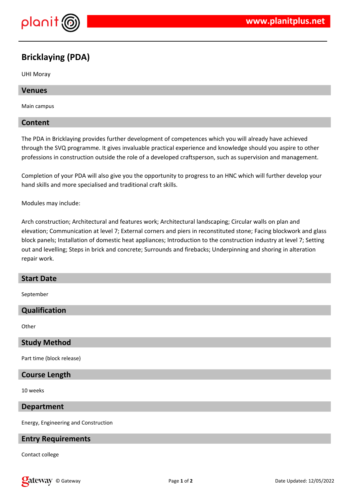

# **Bricklaying (PDA)**

UHI Moray

# **Venues**

Main campus

# **Content**

The PDA in Bricklaying provides further development of competences which you will already have achieved through the SVQ programme. It gives invaluable practical experience and knowledge should you aspire to other professions in construction outside the role of a developed craftsperson, such as supervision and management.

Completion of your PDA will also give you the opportunity to progress to an HNC which will further develop your hand skills and more specialised and traditional craft skills.

Modules may include:

Arch construction; Architectural and features work; Architectural landscaping; Circular walls on plan and elevation; Communication at level 7; External corners and piers in reconstituted stone; Facing blockwork and glass block panels; Installation of domestic heat appliances; Introduction to the construction industry at level 7; Setting out and levelling; Steps in brick and concrete; Surrounds and firebacks; Underpinning and shoring in alteration repair work.

#### **Start Date**

September

#### **Qualification**

**Other** 

#### **Study Method**

Part time (block release)

# **Course Length**

10 weeks

#### **Department**

Energy, Engineering and Construction

#### **Entry Requirements**

Contact college